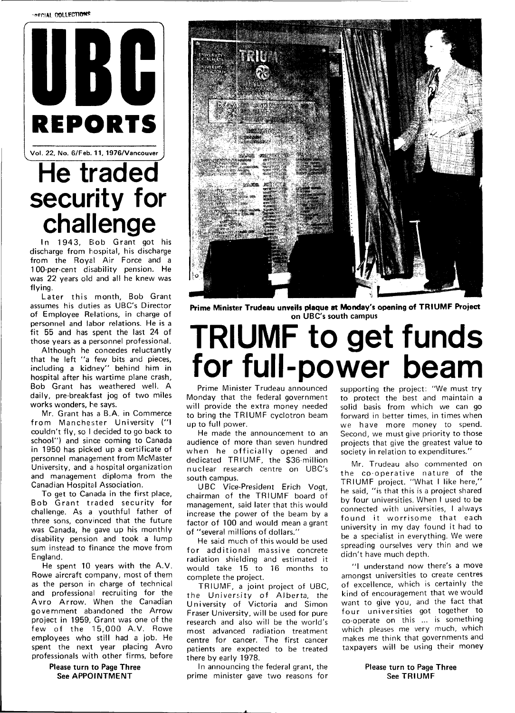**-ofCIAL COLLECTIONS** 



Vol. 22, No. 6/Feb. 11, 1976/Vancouver

## **He traded security for challenge**

In 1943, Bob Grant got his discharge from hospital, his discharge from the Royal Air Force and a 100-per-cent disability pension. He was 22 years old and all he knew was flying.

Later this month, Bob Grant assumes his duties as UBC's Director of Employee Relations, in charge of personnel and labor relations. He is a fit 55 and has spent the last 24 of those years as a personnel professional.

Although he concedes reluctantly that he left "a few bits and pieces, including a kidney" behind him in hospital after his wartime plane crash, Bob Grant has weathered well. A daily, pre-breakfast jog of two miles works wonders, he says.

Mr. Grant has a B.A. in Commerce from Manchester University ("I couldn't fly, so I decided to go back to school") and since coming to Canada in 1950 has picked up a certificate of personnel management from McMaster University, and a hospital organization and management diploma from the Canadian Hospital Association.

To get to Canada in the first place, Bob Grant traded security for challenge. As a youthful father of three sons, convinced that the future was Canada, he gave up his monthly disability pension and took a lump sum instead to finance the move from England.

He spent 10 years with the A.V. Rowe aircraft company, most of them as the person in charge of technical and professional recruiting for the Avro Arrow. When the Canadian government abandoned the Arrow project in 1959, Grant was one of the few of the 15,000 A.V. Rowe employees who still had a job. He spent the next year placing Avro professionals with other firms, before

> **Please turn to Page Three See APPOINTMENT**



**Prime Minister Trudeau unveils plaque at Monday's opening of TRIUMF Project on UBC's south campus** 

## **TRIUMF to get funds for full-power beam**

Prime Minister Trudeau announced Monday that the federal government will provide the extra money needed to bring the TRIUMF cyclotron beam up to full power.

He made the announcement to an audience of more than seven hundred when he officially opened and dedicated TRIUMF, the \$36-million nuclear research centre on UBC's south campus.

UBC Vice-President Erich Vogt, chairman of the TRIUMF board of management, said later that this would increase the power of the beam by a factor of 100 and would mean a grant of "several millions of dollars."

He said much of this would be used for additional massive concrete radiation shielding and estimated it would take 15 to 16 months to complete the project.

TRIUMF, a joint project of UBC, the University of Alberta, the University of Victoria and Simon Fraser University, will be used for pure research and also will be the world's most advanced radiation treatment centre for cancer. The first cancer patients are expected to be treated there by early 1978.

In announcing the federal grant, the prime minister gave two reasons for supporting the project: "We must try to protect the best and maintain a solid basis from which we can go forward in better times, in times when we have more money to spend. Second, we must give priority to those projects that give the greatest value to society in relation to expenditures."

Mr. Trudeau also commented on the co-operative nature of the TRIUMF project. "What I like here," he said, "is that this is a project shared by four universities. When I used to be connected with universities, I always found it worrisome that each university in my day found it had to be a specialist in everything. We were spreading ourselves very thin and we didn't have much depth.

"I understand now there's a move amongst universities to create centres of excellence, which is certainly the kind of encouragement that we would want to give you, and the fact that four universities got together to co-operate on this ... is something which pleases me very much, which makes me think that governments and taxpayers will be using their money

> **Please turn to Page Three**  See **TRIUMF**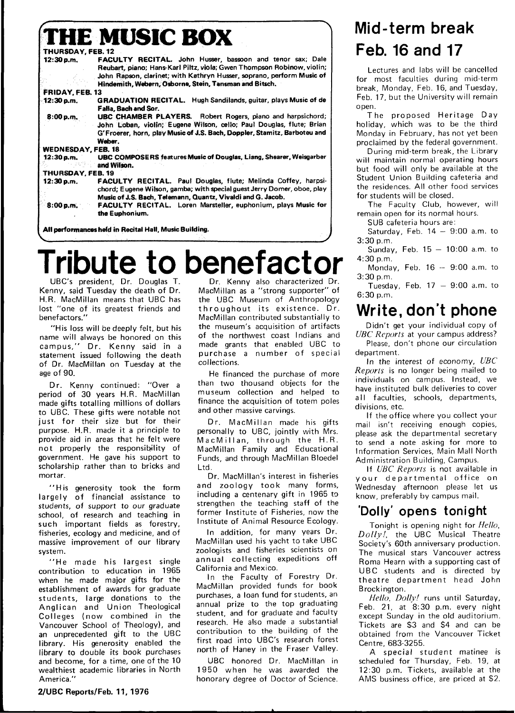|                                                        | <b>THE MUSIC BOX</b>                                                                                                                                                                                                            |
|--------------------------------------------------------|---------------------------------------------------------------------------------------------------------------------------------------------------------------------------------------------------------------------------------|
| THURSDAY, FEB. 12                                      |                                                                                                                                                                                                                                 |
| 12:30 p.m.                                             | <b>FACULTY RECITAL.</b> John Husser, bassoon and tenor sax; Dale<br>Reubart, piano; Hans-Karl Piltz, viola; Gwen Thompson Robinow, violin;<br>John Rapson, clarinet; with Kathryn Husser, soprano, perform Music of             |
|                                                        | Hindemith, Webern, Osborne, Stein, Tansman and Bitsch.                                                                                                                                                                          |
| FRIDAY, FEB. 13                                        |                                                                                                                                                                                                                                 |
| 12:30 p.m.                                             | <b>GRADUATION RECITAL.</b> Hugh Sandilands, guitar, plays Music of de<br>Falla, Bach and Sor,                                                                                                                                   |
| 8:00 p.m.                                              | <b>UBC CHAMBER PLAYERS.</b> Robert Rogers, piano and harpsichord;<br>John Loban, violin; Eugene Wilson, cello; Paul Douglas, flute; Brian<br>G'Froerer, horn, play Music of J.S. Bach, Doppler, Stamitz, Barboteu and<br>Weber. |
| <b>WEDNESDAY, FEB. 18</b>                              |                                                                                                                                                                                                                                 |
| 12:30 p.m.                                             | <b>UBC COMPOSERS features Music of Douglas, Liang, Shearer, Weisgarber</b><br>and Wilson.                                                                                                                                       |
| THURSDAY, FEB. 19                                      |                                                                                                                                                                                                                                 |
| 12:30 p.m.                                             | <b>FACULTY RECITAL.</b> Paul Douglas, flute; Melinda Coffey, harpsi-<br>chord; Eugene Wilson, gamba; with special guest Jerry Domer, oboe, play                                                                                 |
| 8:00 p.m.                                              | Music of J.S. Bach, Telemann, Quantz, Vivaldi and G. Jacob.<br><b>FACULTY RECITAL.</b> Loren Marsteller, euphonium, plays Music for<br>the Euphonium.                                                                           |
| All performances held in Recital Hall, Music Building. |                                                                                                                                                                                                                                 |

## **Tribute to benefactor**

UBC's president. Dr. Douglas T. Kenny, said Tuesday the death of Dr. H.R. MacMillan means that UBC has lost "one of its greatest friends and benefactors."

"His loss will be deeply felt, but his name will always be honored on this campus," Dr. Kenny said in a statement issued following the death of Dr. MacMillan on Tuesday at the age of 90.

Dr. Kenny continued: "Over a period of 30 years H.R. MacMillan made gifts totalling millions of dollars **to** UBC. These gifts were notable not just for their size but for their purpose. H.R. made it a principle to provide aid in areas that he felt were not properly the responsibility of government. He gave his support to scholarship rather than to bricks and mortar.

"His generosity took the form largely of financial assistance to students, of support to our graduate school, of research and teaching in such important fields as forestry, fisheries, ecology and medicine, and of massive improvement of our library system.

"He made his largest single contribution to education in 1965 when he made major gifts for the establishment of awards for graduate students, large donations to the Anglican and Union Theological Colleges (now combined in the Vancouver School of Theology), and an unprecedented gift to the UBC library. His generosity enabled the library to double its book purchases and become, for a time, one of the 10 wealthiest academic libraries in North America."

**2/UBC Reports/Feb. 11, 1976** 

Dr. Kenny also characterized Dr. MacMillan as a "strong supporter" of the UBC Museum of Anthropology throughout its existence. Dr. MacMillan contributed substantially to the museum's acquisition of artifacts of the northwest coast Indians and made grants that enabled UBC to purchase a number of special collections.

He financed the purchase of more than two thousand objects for the museum collection and helped to finance the acquisition of totem poles and other massive carvings.

Dr. MacMillan made his gifts personally to UBC, jointly with Mrs. MacMillan, through the H.R. MacMillan Family and Educational Funds, and through MacMillan Bloedel ht I

Dr. MacMillan's interest in fisheries and zoology took many forms, including a centenary gift in 1965 to strengthen the teaching staff of the former Institute of Fisheries, now the Institute of Animal Resource Ecology.

In addition, for many years Dr. MacMillan used his yacht to take UBC zoologists and fisheries scientists on annual collecting expeditions off California and Mexico.

In the Faculty of Forestry Dr. MacMillan provided funds for book purchases, a loan fund for students, an annual prize to the top graduating student, and for graduate and faculty research. He also made a substantial contribution to the building of the first road into UBC's research forest north of Haney in the Fraser Valley.

UBC honored Dr. MacMillan in 1950 when he was awarded the honorary degree of Doctor of Science.

## **Mid-term break Feb. 16 and 17**

Lectures and labs will be cancelled for most faculties during mid-term break, Monday, Feb. 16, and Tuesday, Feb. 17, but the University will remain open.

The proposed Heritage Day holiday, which was to be the third Monday in February, has not yet been proclaimed by the federal government.

During mid-term break, the Library will maintain normal operating hours but food will only be available at the Student Union Building cafeteria and the residences. All other food services for students will be closed.

The Faculty Club, however, will remain open for its normal hours.

SUB cafeteria hours are:

Saturday, Feb.  $14 - 9:00$  a.m. to 3:30 p.m.

Sunday, Feb.  $15 - 10:00$  a.m. to 4:30 p.m.

Monday, Feb.  $16 - 9:00$  a.m. to 3:30 p.m.

Tuesday, Feb.  $17 - 9:00$  a.m. to 6:30 p.m.

## **Write, don't phone**

Didn't get your individual copy of UBC Reports at your campus address? Please, don't phone our circulation

department. In the interest of economy,  $UBC$ Reports is no longer being mailed to individuals on campus. Instead, we have instituted bulk deliveries to cover all faculties, schools, departments, divisions, etc.

If the office where you collect your mail isn't receiving enough copies, please ask the departmental secretary to send a note asking for more to Information Services, Main Mall North Administration Building, Campus.

If UBC Reports is not available in your departmental office on Wednesday afternoon please let us know, preferably by campus mail.

#### **'Dolly' opens tonight**

Tonight is opening night for Hello, Dolly!, the UBC Musical Theatre Society's 60th anniversary production. The musical stars Vancouver actress Roma Hearn with a supporting cast of UBC students and is directed by theatre department head John Brockington.

Hello, Dolly! runs until Saturday. Feb. 21, at 8:30 p.m. every night except Sunday in the old auditorium. Tickets are \$3 and \$4 and can be obtained from the Vancouver Ticket Centre, 683-3255.

A special student matinee is scheduled for Thursday, Feb. 19, at 12:30 p.m. Tickets, available at the AMS business office, are priced at \$2.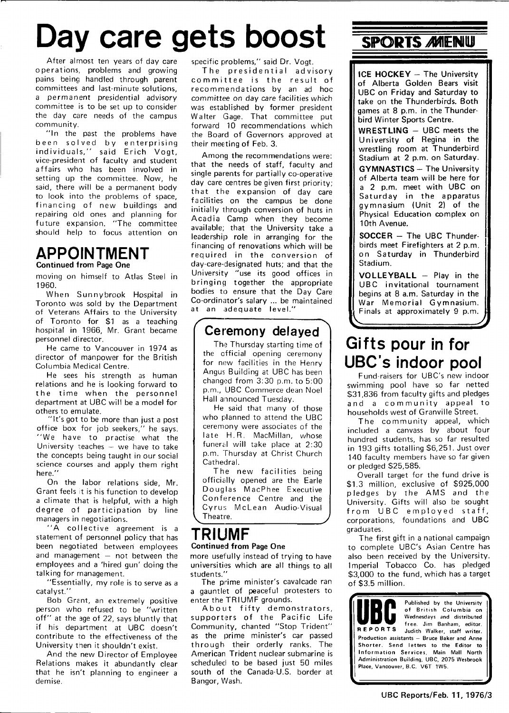## Day care gets boost **SPORTS MENU**

After almost ten years of day care operations, problems and growing pains being handled through parent committees and last-minute solutions, a permanent presidential advisory committee is to be set up to consider the day care needs of the campus community.

"In the past the problems have been solved by enterprising individuals," said Erich Vogt, vice-president of faculty and student affairs who has been involved in setting up the committee. Now, he said, there will be a permanent body to look into the problems of space, financing of new buildings and repairing old ones and planning for future expansion. "The committee should help to focus attention on

#### **APPOINTMENT**  Continued from Page One

moving on himself to Atlas Steel in 1960.

When Sunnybrook Hospital in Toronto was sold by the Department of Veterans Affairs to the University of Toronto for \$1 as a teaching hospital in 1966, Mr. Grant became personnel director.

He came to Vancouver in 1974 as director of manpower for the British Columbia Medical Centre.

He sees his strength as human relations and he is looking forward to the time when the personnel department at UBC will be a model for others to emulate.

"It's got to be more than just a post office box for job seekers," he says. "We have to practise what the University teaches — we have to take the concepts being taught in our social science courses and apply them right here."

On the labor relations side, Mr. Grant feels it is his function to develop a climate that is helpful, with a high degree of participation by line managers in negotiations.

"A collective agreement is a statement of personnel policy that has been negotiated between employees and management  $-$  not between the employees and a 'hired gun' doing the talking for management.

"Essentially, my role is to serve as a catalyst."

Bob Grant, an extremely positive person who refused to be "written off" at the age of 22, says bluntly that if his department at UBC doesn't contribute to the effectiveness of the University then it shouldn't exist.

And the new Director of Employee Relations makes it abundantly clear that he isn't planning to engineer a demise.

specific problems," said Dr. Vogt.

The presidential advisory committee is the result of recommendations by an ad hoc committee on day care facilities which was established by former president Walter Gage. That committee put forward 10 recommendations which the Board of Governors approved at their meeting of Feb. 3.

Among the recommendations were: that the needs of staff, faculty and single parents for partially co-operative day care centres be given first priority; that the expansion of day care facilities on the campus be done initially through conversion of huts in Acadia Camp when they become available; that the University take a leadership role in arranging for the financing of renovations which will be required in the conversion of day-care-designated huts; and that the University "use its good offices in bringing together the appropriate bodies to ensure that the Day Care Co-ordinator's salary ... be maintained at an adequate level."

### **Ceremony delayed**

The Thursday starting time of the official opening ceremony for new facilities in the Henry Angus Building at UBC has been changed from 3:30 p.m. to 5:00 p.m., UBC Commerce dean Noel Hall announced Tuesday.

He said that many of those who planned to attend the UBC ceremony were associates of the late H.R. MacMillan, whose funeral will take place at 2:30 p.m. Thursday at Christ Church Cathedral.

The new facilities being officislly opened are the Earle Douglas MacPhee Executive Conference Centre and the Cyrus McLean Audio-Visual Theatre.

### **TRIUMF**

#### Continued from Page One

more usefully instead of trying to have universities which are all things to all students."

The prime minister's cavalcade ran a gauntlet of peaceful protesters to enter the TRIUMF grounds.

About fifty demonstrators, supporters of the Pacific Life Community, chanted "Stop Trident" as the prime minister's car passed through their orderly ranks. The American Trident nuclear submarine is scheduled to be based just 50 miles south of the Canada-U.S. border at Bangor, Wash.

**ICE HOCKEY** - The University of Alberta Golden Bears visit UBC on Friday and Saturday to take on the Thunderbirds. Both games at 8 p.m. in the Thunderbird Winter Sports Centre.

**WRESTLING** - UBC meets the University of Regina in the wrestling room at Thunderbird Stadium at 2 p.m. on Saturday.

**GYMNASTICS** - The University of Alberta team will be here for a 2 p.m. meet with UBC on Saturday in the apparatus gymnasium (Unit 2) of the Physical Education complex on 10th Avenue.

**SOCCER** - The UBC Thunderbirds meet Firefighters at 2 p.m. on Saturday in Thunderbird Stadium.

**VOLLEYBALL** - Play in the UBC invitational tournament begins at 8 a.m. Saturday in the War Memorial Gymnasium. Finals at approximately 9 p.m.

### **Gifts pour in for UBC's indoor pool**

Fund-raisers for UBC's new indoor swimming pool have so far netted \$31,836 from faculty gifts and pledges and a community appeal to households west of Granville Street.

The community appeal, which included a canvass by about four hundred students, has so far resulted in 193 gifts totalling \$6,251. Just over 140 faculty members have so far given or pledged \$25,585.

Overall target for the fund drive is \$1.3 million, exclusive of \$925,000 pledges by the AMS and the University. Gifts will also be sought from UBC employed staff, corporations, foundations and UBC graduates.

The first gift in a national campaign to complete UBC's Asian Centre has also been received by the University. Imperial Tobacco Co. has pledged \$3,000 to the fund, which has a target of \$3.5 million.

Published by the University **• (••I F** of British Columbia on **Wednesdays and distributed REPORTS** free. Jim Banham, editor.<br>**REPORTS** Judith Walker, staff writer. Production assistants — Bruce Baker and Anne Shorter. Send letters to the Editor to Information Services, Main Mall North Administration Building, UBC, 2075 Wesbrook Place, Vancouver, B.C. V6T 1W5.